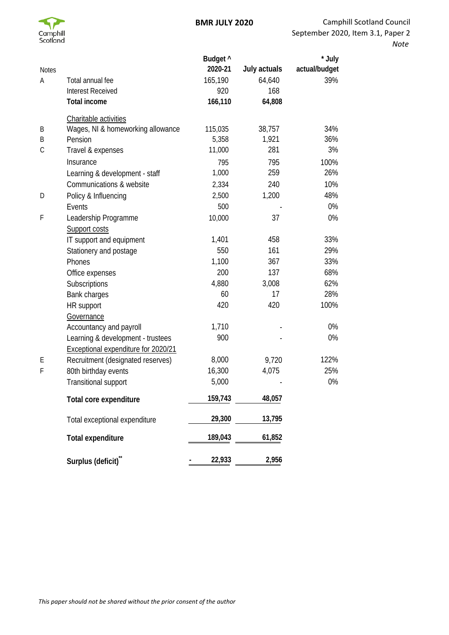

| <b>Notes</b> |                                     | Budget ^<br>2020-21 | July actuals | * July<br>actual/budget |
|--------------|-------------------------------------|---------------------|--------------|-------------------------|
| Α            | Total annual fee                    | 165,190             | 64,640       | 39%                     |
|              | <b>Interest Received</b>            | 920                 | 168          |                         |
|              | <b>Total income</b>                 | 166,110             | 64,808       |                         |
|              | Charitable activities               |                     |              |                         |
| Β            | Wages, NI & homeworking allowance   | 115,035             | 38,757       | 34%                     |
| B            | Pension                             | 5,358               | 1,921        | 36%                     |
| C            | Travel & expenses                   | 11,000              | 281          | 3%                      |
|              | Insurance                           | 795                 | 795          | 100%                    |
|              | Learning & development - staff      | 1,000               | 259          | 26%                     |
|              | Communications & website            | 2,334               | 240          | 10%                     |
| D            | Policy & Influencing                | 2,500               | 1,200        | 48%                     |
|              | Events                              | 500                 |              | 0%                      |
| F            | Leadership Programme                | 10,000              | 37           | 0%                      |
|              | Support costs                       |                     |              |                         |
|              | IT support and equipment            | 1,401               | 458          | 33%                     |
|              | Stationery and postage              | 550                 | 161          | 29%                     |
|              | Phones                              | 1,100               | 367          | 33%                     |
|              | Office expenses                     | 200                 | 137          | 68%                     |
|              | Subscriptions                       | 4,880               | 3,008        | 62%                     |
|              | Bank charges                        | 60                  | 17           | 28%                     |
|              | HR support                          | 420                 | 420          | 100%                    |
|              | Governance                          |                     |              |                         |
|              | Accountancy and payroll             | 1,710               |              | 0%                      |
|              | Learning & development - trustees   | 900                 |              | 0%                      |
|              | Exceptional expenditure for 2020/21 |                     |              |                         |
| Ε            | Recruitment (designated reserves)   | 8,000               | 9,720        | 122%                    |
| F            | 80th birthday events                | 16,300              | 4,075        | 25%                     |
|              | Transitional support                | 5,000               |              | 0%                      |
|              | Total core expenditure              | 159,743             | 48,057       |                         |
|              | Total exceptional expenditure       | 29,300              | 13,795       |                         |
|              | <b>Total expenditure</b>            | 189,043             | 61,852       |                         |
|              | Surplus (deficit)"                  | 22,933              | 2,956        |                         |